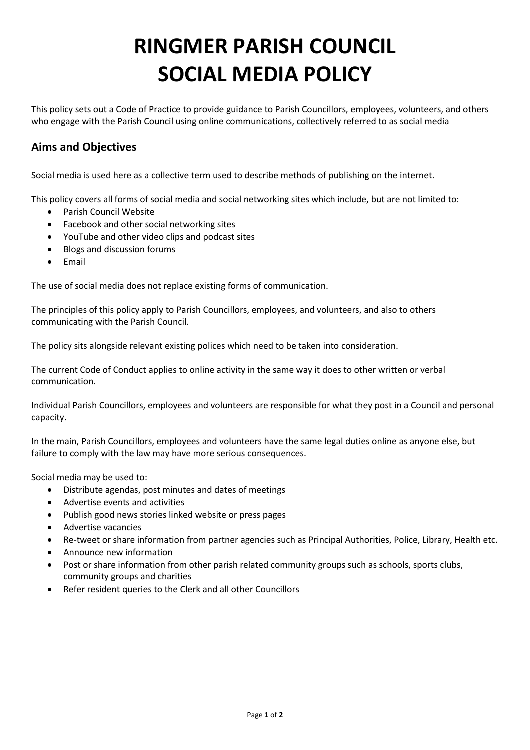## **RINGMER PARISH COUNCIL SOCIAL MEDIA POLICY**

This policy sets out a Code of Practice to provide guidance to Parish Councillors, employees, volunteers, and others who engage with the Parish Council using online communications, collectively referred to as social media

## **Aims and Objectives**

Social media is used here as a collective term used to describe methods of publishing on the internet.

This policy covers all forms of social media and social networking sites which include, but are not limited to:

- Parish Council Website
- Facebook and other social networking sites
- YouTube and other video clips and podcast sites
- Blogs and discussion forums
- Email

The use of social media does not replace existing forms of communication.

The principles of this policy apply to Parish Councillors, employees, and volunteers, and also to others communicating with the Parish Council.

The policy sits alongside relevant existing polices which need to be taken into consideration.

The current Code of Conduct applies to online activity in the same way it does to other written or verbal communication.

Individual Parish Councillors, employees and volunteers are responsible for what they post in a Council and personal capacity.

In the main, Parish Councillors, employees and volunteers have the same legal duties online as anyone else, but failure to comply with the law may have more serious consequences.

Social media may be used to:

- Distribute agendas, post minutes and dates of meetings
- Advertise events and activities
- Publish good news stories linked website or press pages
- Advertise vacancies
- Re-tweet or share information from partner agencies such as Principal Authorities, Police, Library, Health etc.
- Announce new information
- Post or share information from other parish related community groups such as schools, sports clubs, community groups and charities
- Refer resident queries to the Clerk and all other Councillors